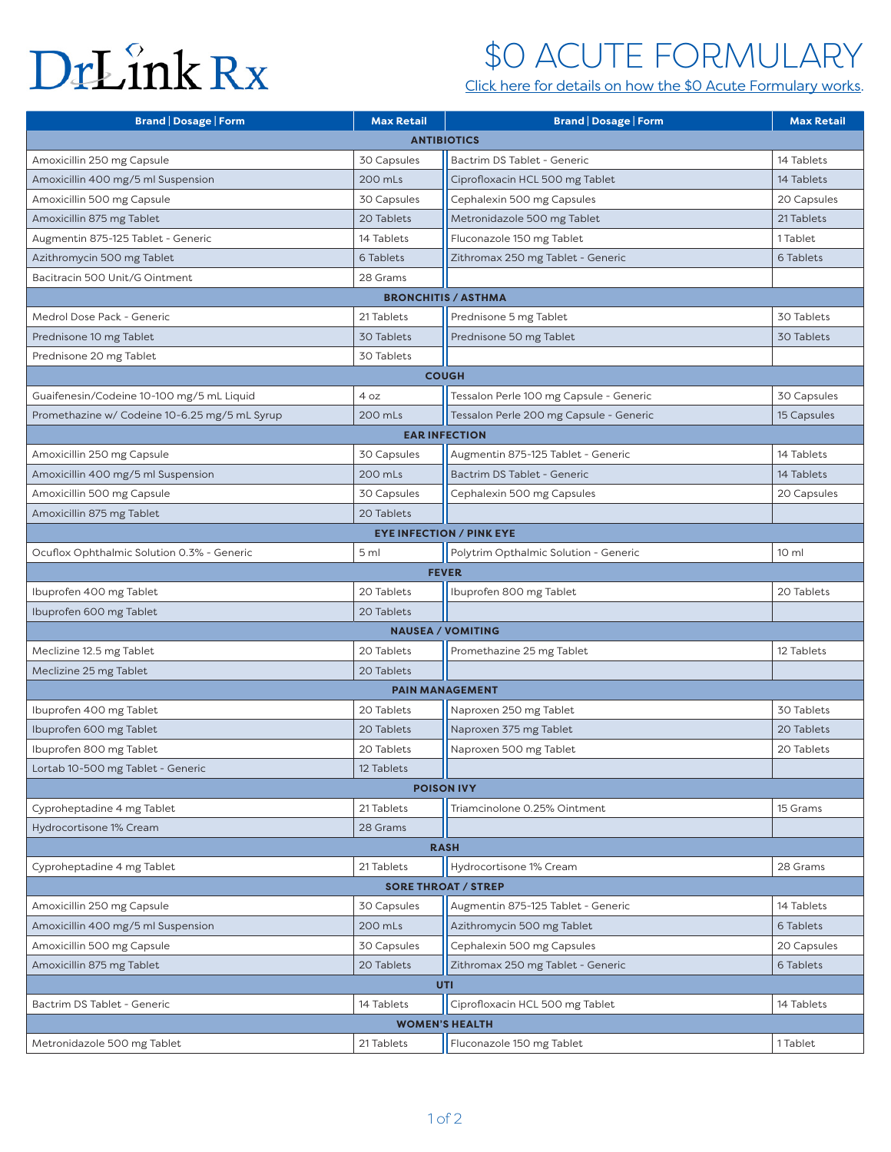# <span id="page-0-0"></span>DrLînk Rx

### \$0 ACUTE FORMULARY

[Click here for details on how the \\$0 Acute Formulary works.](#page-1-0)

| <b>Brand   Dosage   Form</b>                  | <b>Max Retail</b> | <b>Brand   Dosage   Form</b>            | <b>Max Retail</b> |
|-----------------------------------------------|-------------------|-----------------------------------------|-------------------|
| <b>ANTIBIOTICS</b>                            |                   |                                         |                   |
| Amoxicillin 250 mg Capsule                    | 30 Capsules       | Bactrim DS Tablet - Generic             | 14 Tablets        |
| Amoxicillin 400 mg/5 ml Suspension            | 200 mLs           | Ciprofloxacin HCL 500 mg Tablet         | 14 Tablets        |
| Amoxicillin 500 mg Capsule                    | 30 Capsules       | Cephalexin 500 mg Capsules              | 20 Capsules       |
| Amoxicillin 875 mg Tablet                     | 20 Tablets        | Metronidazole 500 mg Tablet             | 21 Tablets        |
| Augmentin 875-125 Tablet - Generic            | 14 Tablets        | Fluconazole 150 mg Tablet               | 1 Tablet          |
| Azithromycin 500 mg Tablet                    | 6 Tablets         | Zithromax 250 mg Tablet - Generic       | 6 Tablets         |
| Bacitracin 500 Unit/G Ointment                | 28 Grams          |                                         |                   |
| <b>BRONCHITIS / ASTHMA</b>                    |                   |                                         |                   |
| Medrol Dose Pack - Generic                    | 21 Tablets        | Prednisone 5 mg Tablet                  | 30 Tablets        |
| Prednisone 10 mg Tablet                       | 30 Tablets        | Prednisone 50 mg Tablet                 | 30 Tablets        |
| Prednisone 20 mg Tablet                       | 30 Tablets        |                                         |                   |
| <b>COUGH</b>                                  |                   |                                         |                   |
| Guaifenesin/Codeine 10-100 mg/5 mL Liquid     | 4 oz              | Tessalon Perle 100 mg Capsule - Generic | 30 Capsules       |
| Promethazine w/ Codeine 10-6.25 mg/5 mL Syrup | 200 mLs           | Tessalon Perle 200 mg Capsule - Generic | 15 Capsules       |
| <b>EAR INFECTION</b>                          |                   |                                         |                   |
| Amoxicillin 250 mg Capsule                    | 30 Capsules       | Augmentin 875-125 Tablet - Generic      | 14 Tablets        |
| Amoxicillin 400 mg/5 ml Suspension            | 200 mLs           | Bactrim DS Tablet - Generic             | 14 Tablets        |
| Amoxicillin 500 mg Capsule                    | 30 Capsules       | Cephalexin 500 mg Capsules              | 20 Capsules       |
| Amoxicillin 875 mg Tablet                     | 20 Tablets        |                                         |                   |
| <b>EYE INFECTION / PINK EYE</b>               |                   |                                         |                   |
| Ocuflox Ophthalmic Solution 0.3% - Generic    | 5 ml              | Polytrim Opthalmic Solution - Generic   | 10 <sub>m</sub>   |
| <b>FEVER</b>                                  |                   |                                         |                   |
| Ibuprofen 400 mg Tablet                       | 20 Tablets        | Ibuprofen 800 mg Tablet                 | 20 Tablets        |
| Ibuprofen 600 mg Tablet                       | 20 Tablets        |                                         |                   |
| <b>NAUSEA / VOMITING</b>                      |                   |                                         |                   |
| Meclizine 12.5 mg Tablet                      | 20 Tablets        | Promethazine 25 mg Tablet               | 12 Tablets        |
| Meclizine 25 mg Tablet                        | 20 Tablets        |                                         |                   |
| <b>PAIN MANAGEMENT</b>                        |                   |                                         |                   |
| Ibuprofen 400 mg Tablet                       | 20 Tablets        | Naproxen 250 mg Tablet                  | 30 Tablets        |
| Ibuprofen 600 mg Tablet                       | 20 Tablets        | Naproxen 375 mg Tablet                  | 20 Tablets        |
| Ibuprofen 800 mg Tablet                       | 20 Tablets        | Naproxen 500 mg Tablet                  | 20 Tablets        |
| Lortab 10-500 mg Tablet - Generic             | 12 Tablets        |                                         |                   |
| <b>POISON IVY</b>                             |                   |                                         |                   |
| Cyproheptadine 4 mg Tablet                    | 21 Tablets        | Triamcinolone 0.25% Ointment            | 15 Grams          |
| Hydrocortisone 1% Cream                       | 28 Grams          |                                         |                   |
| <b>RASH</b>                                   |                   |                                         |                   |
| Cyproheptadine 4 mg Tablet                    | 21 Tablets        | Hydrocortisone 1% Cream                 | 28 Grams          |
| <b>SORE THROAT / STREP</b>                    |                   |                                         |                   |
| Amoxicillin 250 mg Capsule                    | 30 Capsules       | Augmentin 875-125 Tablet - Generic      | 14 Tablets        |
| Amoxicillin 400 mg/5 ml Suspension            | 200 mLs           | Azithromycin 500 mg Tablet              | 6 Tablets         |
| Amoxicillin 500 mg Capsule                    | 30 Capsules       | Cephalexin 500 mg Capsules              | 20 Capsules       |
| Amoxicillin 875 mg Tablet                     | 20 Tablets        | Zithromax 250 mg Tablet - Generic       | 6 Tablets         |
| <b>UTI</b>                                    |                   |                                         |                   |
| Bactrim DS Tablet - Generic                   | 14 Tablets        | Ciprofloxacin HCL 500 mg Tablet         | 14 Tablets        |
| <b>WOMEN'S HEALTH</b>                         |                   |                                         |                   |
| Metronidazole 500 mg Tablet                   | 21 Tablets        | Fluconazole 150 mg Tablet               | 1 Tablet          |